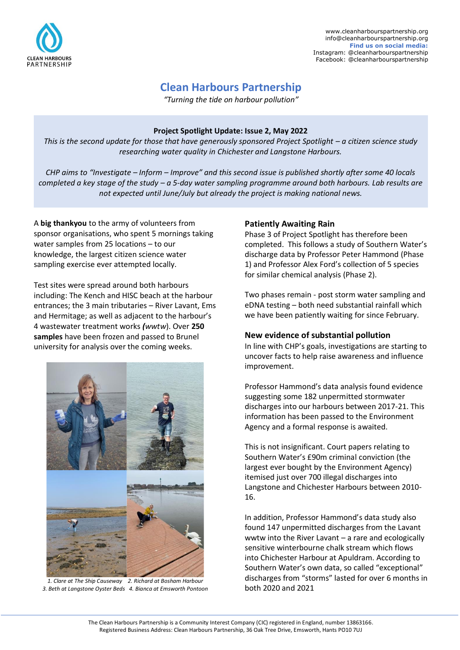

# **Clean Harbours Partnership**

*"Turning the tide on harbour pollution"*

#### **Project Spotlight Update: Issue 2, May 2022**

*This is the second update for those that have generously sponsored Project Spotlight – a citizen science study researching water quality in Chichester and Langstone Harbours.* 

*CHP aims to "Investigate – Inform – Improve" and this second issue is published shortly after some 40 locals completed a key stage of the study – a 5-day water sampling programme around both harbours. Lab results are not expected until June/July but already the project is making national news.* 

A **big thankyou** to the army of volunteers from sponsor organisations, who spent 5 mornings taking water samples from 25 locations – to our knowledge, the largest citizen science water sampling exercise ever attempted locally.

Test sites were spread around both harbours including: The Kench and HISC beach at the harbour entrances; the 3 main tributaries – River Lavant, Ems and Hermitage; as well as adjacent to the harbour's 4 wastewater treatment works *(wwtw*). Over **250 samples** have been frozen and passed to Brunel university for analysis over the coming weeks.



*1. Clare at The Ship Causeway 2. Richard at Bosham Harbour 3. Beth at Langstone Oyster Beds 4. Bianca at Emsworth Pontoon*

#### **Patiently Awaiting Rain**

Phase 3 of Project Spotlight has therefore been completed. This follows a study of Southern Water's discharge data by Professor Peter Hammond (Phase 1) and Professor Alex Ford's collection of 5 species for similar chemical analysis (Phase 2).

Two phases remain - post storm water sampling and eDNA testing – both need substantial rainfall which we have been patiently waiting for since February.

## **New evidence of substantial pollution**

In line with CHP's goals, investigations are starting to uncover facts to help raise awareness and influence improvement.

Professor Hammond's data analysis found evidence suggesting some 182 unpermitted stormwater discharges into our harbours between 2017-21. This information has been passed to the Environment Agency and a formal response is awaited.

This is not insignificant. Court papers relating to Southern Water's £90m criminal conviction (the largest ever bought by the Environment Agency) itemised just over 700 illegal discharges into Langstone and Chichester Harbours between 2010- 16.

In addition, Professor Hammond's data study also found 147 unpermitted discharges from the Lavant wwtw into the River Lavant – a rare and ecologically sensitive winterbourne chalk stream which flows into Chichester Harbour at Apuldram. According to Southern Water's own data, so called "exceptional" discharges from "storms" lasted for over 6 months in both 2020 and 2021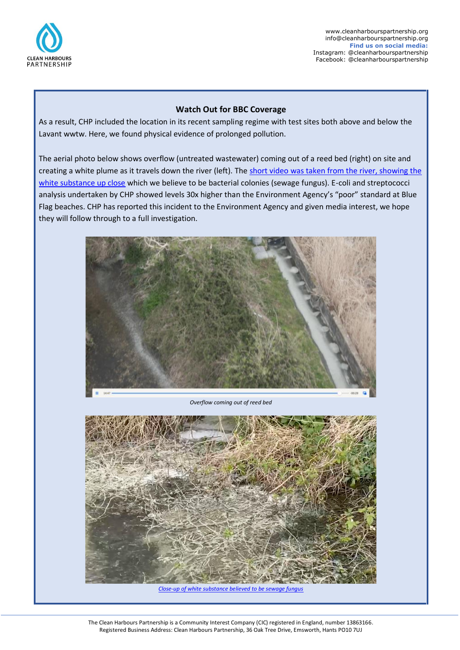

#### **Watch Out for BBC Coverage**

As a result, CHP included the location in its recent sampling regime with test sites both above and below the Lavant wwtw. Here, we found physical evidence of prolonged pollution.

The aerial photo below shows overflow (untreated wastewater) coming out of a reed bed (right) on site and creating a white plume as it travels down the river (left). The short video was taken from the river, showing the [white substance up close](https://youtu.be/vNbuespPnB0) which we believe to be bacterial colonies (sewage fungus). E-coli and streptococci analysis undertaken by CHP showed levels 30x higher than the Environment Agency's "poor" standard at Blue Flag beaches. CHP has reported this incident to the Environment Agency and given media interest, we hope they will follow through to a full investigation.



*Overflow coming out of reed bed*



*[Close-up of white substance believed to be sewage fungus](https://youtu.be/vNbuespPnB0)*

The Clean Harbours Partnership is a Community Interest Company (CIC) registered in England, number 13863166. Registered Business Address: Clean Harbours Partnership, 36 Oak Tree Drive, Emsworth, Hants PO10 7UJ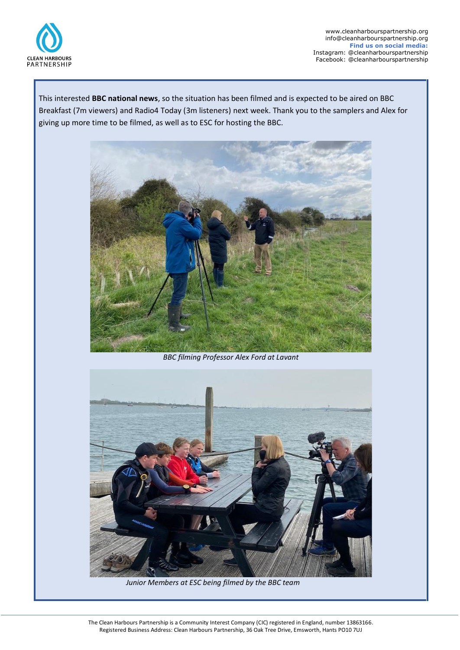

This interested **BBC national news**, so the situation has been filmed and is expected to be aired on BBC Breakfast (7m viewers) and Radio4 Today (3m listeners) next week. Thank you to the samplers and Alex for giving up more time to be filmed, as well as to ESC for hosting the BBC.



*BBC filming Professor Alex Ford at Lavant*



 *Junior Members at ESC being filmed by the BBC team*